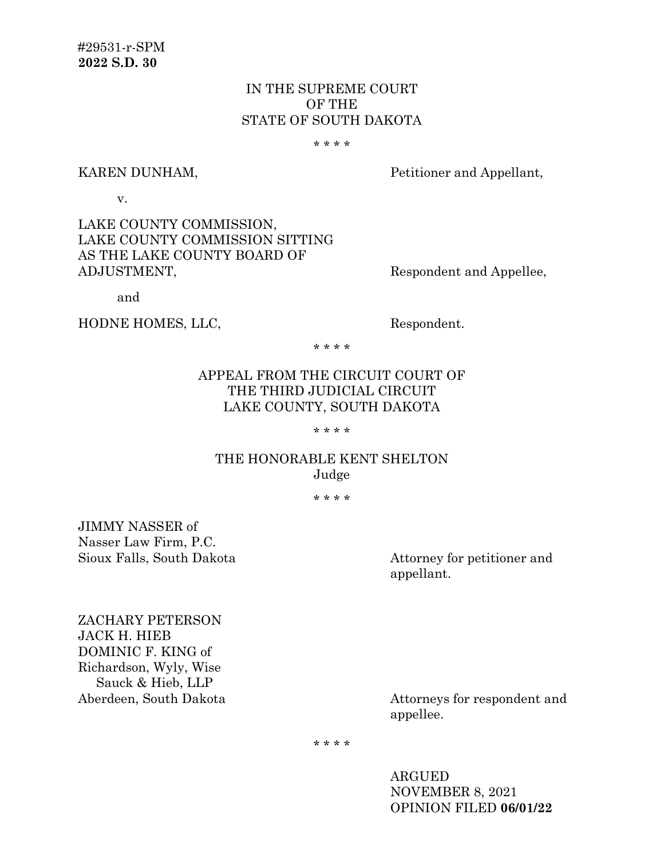# IN THE SUPREME COURT OF THE STATE OF SOUTH DAKOTA

\* \* \* \*

KAREN DUNHAM, Petitioner and Appellant,

v.

LAKE COUNTY COMMISSION, LAKE COUNTY COMMISSION SITTING AS THE LAKE COUNTY BOARD OF ADJUSTMENT, Respondent and Appellee,

and

HODNE HOMES, LLC, Respondent.

\* \* \* \*

# APPEAL FROM THE CIRCUIT COURT OF THE THIRD JUDICIAL CIRCUIT LAKE COUNTY, SOUTH DAKOTA

\* \* \* \*

# THE HONORABLE KENT SHELTON Judge

\* \* \* \*

JIMMY NASSER of Nasser Law Firm, P.C. Sioux Falls, South Dakota **Attorney for petitioner and** 

appellant.

ZACHARY PETERSON JACK H. HIEB DOMINIC F. KING of Richardson, Wyly, Wise Sauck & Hieb, LLP

Aberdeen, South Dakota Attorneys for respondent and appellee.

\* \* \* \*

ARGUED NOVEMBER 8, 2021 OPINION FILED **06/01/22**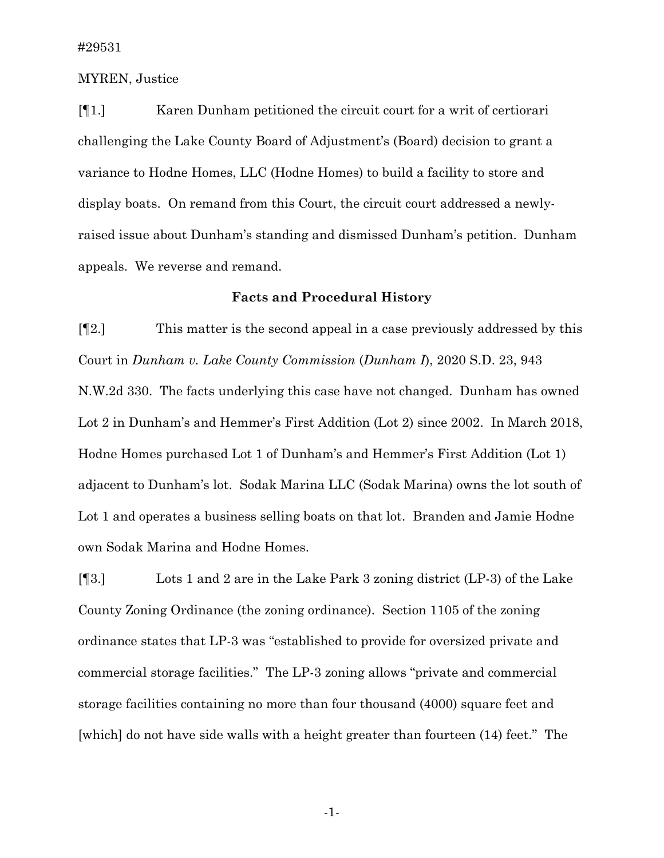MYREN, Justice

[¶1.] Karen Dunham petitioned the circuit court for a writ of certiorari challenging the Lake County Board of Adjustment's (Board) decision to grant a variance to Hodne Homes, LLC (Hodne Homes) to build a facility to store and display boats. On remand from this Court, the circuit court addressed a newlyraised issue about Dunham's standing and dismissed Dunham's petition. Dunham appeals. We reverse and remand.

## **Facts and Procedural History**

[¶2.] This matter is the second appeal in a case previously addressed by this Court in *Dunham v. Lake County Commission* (*Dunham I*), 2020 S.D. 23, 943 N.W.2d 330. The facts underlying this case have not changed. Dunham has owned Lot 2 in Dunham's and Hemmer's First Addition (Lot 2) since 2002. In March 2018, Hodne Homes purchased Lot 1 of Dunham's and Hemmer's First Addition (Lot 1) adjacent to Dunham's lot. Sodak Marina LLC (Sodak Marina) owns the lot south of Lot 1 and operates a business selling boats on that lot. Branden and Jamie Hodne own Sodak Marina and Hodne Homes.

[¶3.] Lots 1 and 2 are in the Lake Park 3 zoning district (LP-3) of the Lake County Zoning Ordinance (the zoning ordinance). Section 1105 of the zoning ordinance states that LP-3 was "established to provide for oversized private and commercial storage facilities." The LP-3 zoning allows "private and commercial storage facilities containing no more than four thousand (4000) square feet and [which] do not have side walls with a height greater than fourteen (14) feet." The

-1-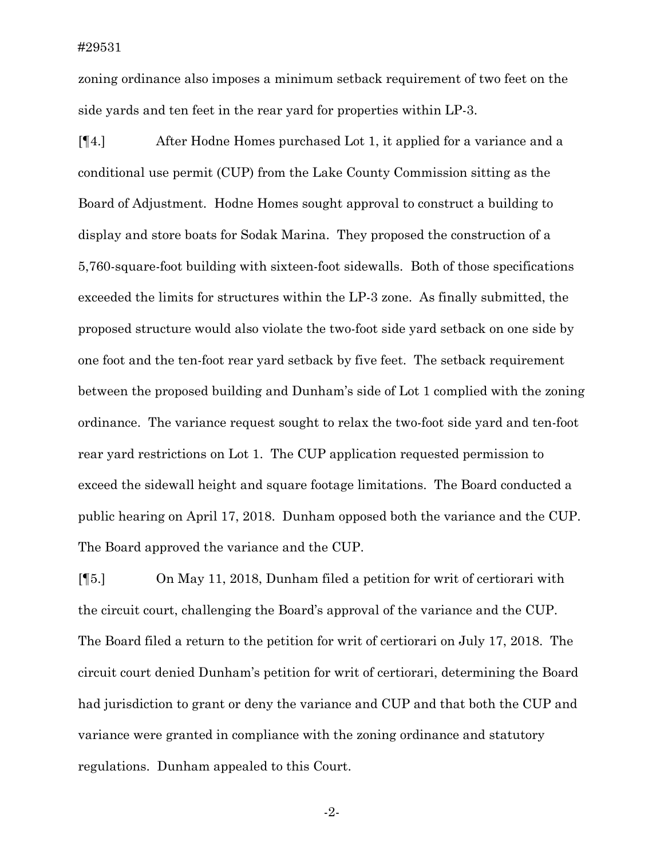zoning ordinance also imposes a minimum setback requirement of two feet on the side yards and ten feet in the rear yard for properties within LP-3.

[¶4.] After Hodne Homes purchased Lot 1, it applied for a variance and a conditional use permit (CUP) from the Lake County Commission sitting as the Board of Adjustment. Hodne Homes sought approval to construct a building to display and store boats for Sodak Marina. They proposed the construction of a 5,760-square-foot building with sixteen-foot sidewalls. Both of those specifications exceeded the limits for structures within the LP-3 zone. As finally submitted, the proposed structure would also violate the two-foot side yard setback on one side by one foot and the ten-foot rear yard setback by five feet. The setback requirement between the proposed building and Dunham's side of Lot 1 complied with the zoning ordinance. The variance request sought to relax the two-foot side yard and ten-foot rear yard restrictions on Lot 1. The CUP application requested permission to exceed the sidewall height and square footage limitations. The Board conducted a public hearing on April 17, 2018. Dunham opposed both the variance and the CUP. The Board approved the variance and the CUP.

[¶5.] On May 11, 2018, Dunham filed a petition for writ of certiorari with the circuit court, challenging the Board's approval of the variance and the CUP. The Board filed a return to the petition for writ of certiorari on July 17, 2018. The circuit court denied Dunham's petition for writ of certiorari, determining the Board had jurisdiction to grant or deny the variance and CUP and that both the CUP and variance were granted in compliance with the zoning ordinance and statutory regulations. Dunham appealed to this Court.

-2-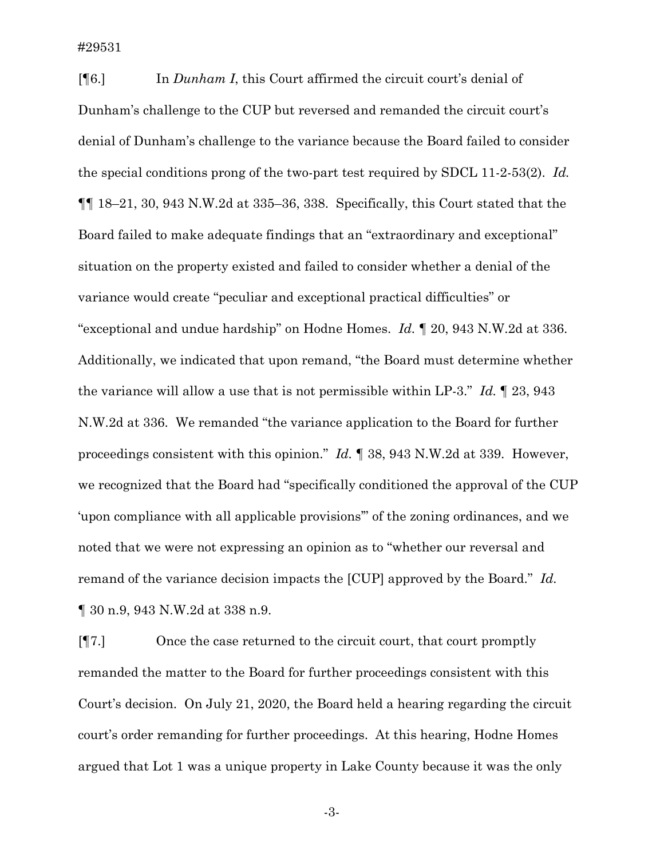[¶6.] In *Dunham I*, this Court affirmed the circuit court's denial of Dunham's challenge to the CUP but reversed and remanded the circuit court's denial of Dunham's challenge to the variance because the Board failed to consider the special conditions prong of the two-part test required by SDCL 11-2-53(2). *Id.*  ¶¶ 18–21, 30, 943 N.W.2d at 335–36, 338. Specifically, this Court stated that the Board failed to make adequate findings that an "extraordinary and exceptional" situation on the property existed and failed to consider whether a denial of the variance would create "peculiar and exceptional practical difficulties" or "exceptional and undue hardship" on Hodne Homes. *Id.* ¶ 20, 943 N.W.2d at 336. Additionally, we indicated that upon remand, "the Board must determine whether the variance will allow a use that is not permissible within LP-3." *Id.* ¶ 23, 943 N.W.2d at 336. We remanded "the variance application to the Board for further proceedings consistent with this opinion." *Id.* ¶ 38, 943 N.W.2d at 339. However, we recognized that the Board had "specifically conditioned the approval of the CUP 'upon compliance with all applicable provisions'" of the zoning ordinances, and we noted that we were not expressing an opinion as to "whether our reversal and remand of the variance decision impacts the [CUP] approved by the Board." *Id.* ¶ 30 n.9, 943 N.W.2d at 338 n.9.

[¶7.] Once the case returned to the circuit court, that court promptly remanded the matter to the Board for further proceedings consistent with this Court's decision. On July 21, 2020, the Board held a hearing regarding the circuit court's order remanding for further proceedings. At this hearing, Hodne Homes argued that Lot 1 was a unique property in Lake County because it was the only

-3-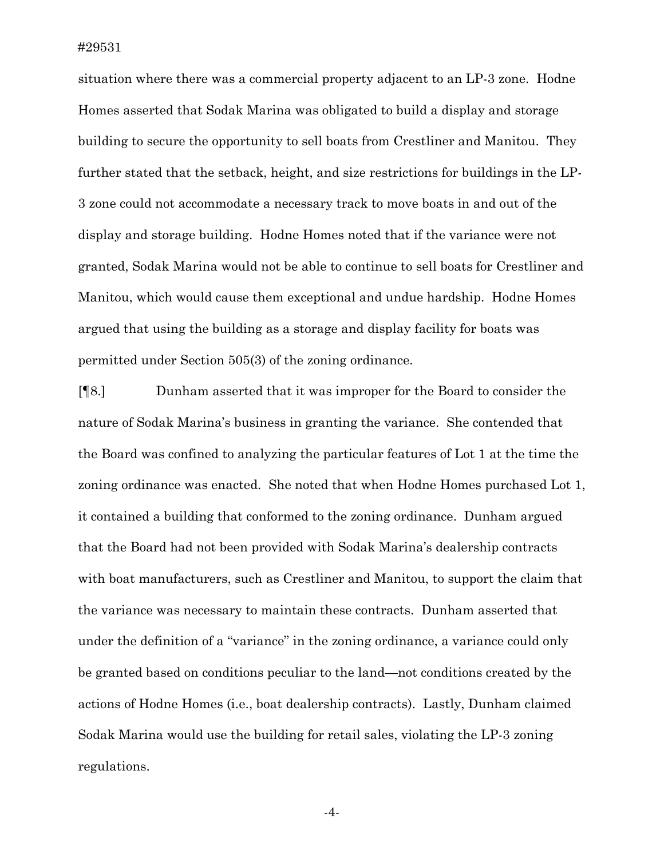situation where there was a commercial property adjacent to an LP-3 zone. Hodne Homes asserted that Sodak Marina was obligated to build a display and storage building to secure the opportunity to sell boats from Crestliner and Manitou. They further stated that the setback, height, and size restrictions for buildings in the LP-3 zone could not accommodate a necessary track to move boats in and out of the display and storage building. Hodne Homes noted that if the variance were not granted, Sodak Marina would not be able to continue to sell boats for Crestliner and Manitou, which would cause them exceptional and undue hardship. Hodne Homes argued that using the building as a storage and display facility for boats was permitted under Section 505(3) of the zoning ordinance.

[¶8.] Dunham asserted that it was improper for the Board to consider the nature of Sodak Marina's business in granting the variance. She contended that the Board was confined to analyzing the particular features of Lot 1 at the time the zoning ordinance was enacted. She noted that when Hodne Homes purchased Lot 1, it contained a building that conformed to the zoning ordinance. Dunham argued that the Board had not been provided with Sodak Marina's dealership contracts with boat manufacturers, such as Crestliner and Manitou, to support the claim that the variance was necessary to maintain these contracts. Dunham asserted that under the definition of a "variance" in the zoning ordinance, a variance could only be granted based on conditions peculiar to the land—not conditions created by the actions of Hodne Homes (i.e., boat dealership contracts). Lastly, Dunham claimed Sodak Marina would use the building for retail sales, violating the LP-3 zoning regulations.

-4-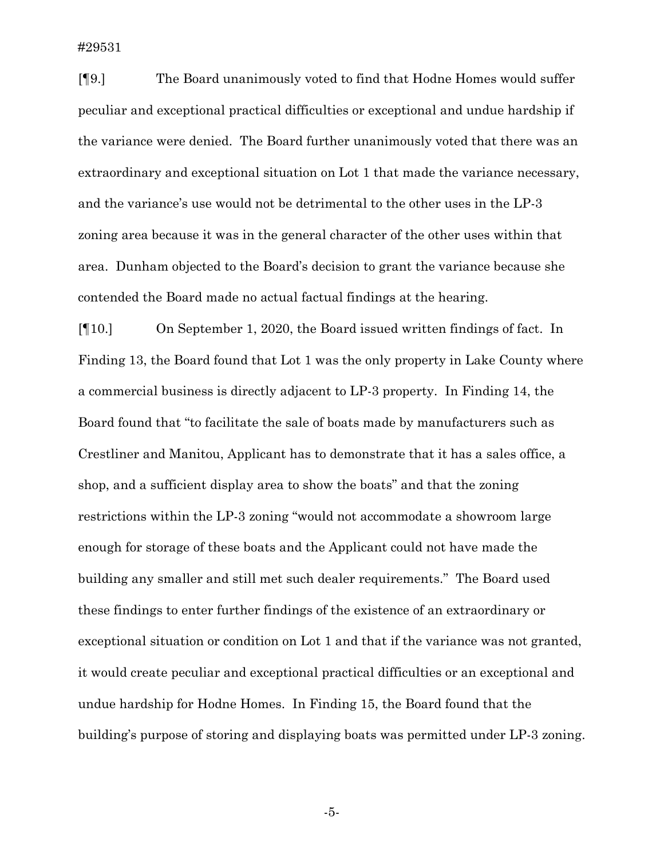[¶9.] The Board unanimously voted to find that Hodne Homes would suffer peculiar and exceptional practical difficulties or exceptional and undue hardship if the variance were denied. The Board further unanimously voted that there was an extraordinary and exceptional situation on Lot 1 that made the variance necessary, and the variance's use would not be detrimental to the other uses in the LP-3 zoning area because it was in the general character of the other uses within that area. Dunham objected to the Board's decision to grant the variance because she contended the Board made no actual factual findings at the hearing.

[¶10.] On September 1, 2020, the Board issued written findings of fact. In Finding 13, the Board found that Lot 1 was the only property in Lake County where a commercial business is directly adjacent to LP-3 property. In Finding 14, the Board found that "to facilitate the sale of boats made by manufacturers such as Crestliner and Manitou, Applicant has to demonstrate that it has a sales office, a shop, and a sufficient display area to show the boats" and that the zoning restrictions within the LP-3 zoning "would not accommodate a showroom large enough for storage of these boats and the Applicant could not have made the building any smaller and still met such dealer requirements." The Board used these findings to enter further findings of the existence of an extraordinary or exceptional situation or condition on Lot 1 and that if the variance was not granted, it would create peculiar and exceptional practical difficulties or an exceptional and undue hardship for Hodne Homes. In Finding 15, the Board found that the building's purpose of storing and displaying boats was permitted under LP-3 zoning.

-5-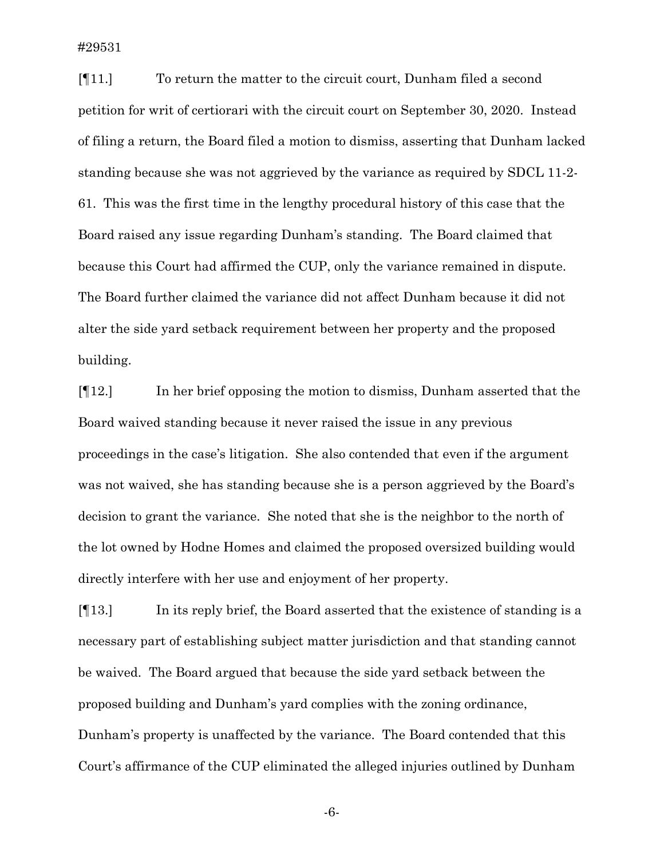[¶11.] To return the matter to the circuit court, Dunham filed a second petition for writ of certiorari with the circuit court on September 30, 2020. Instead of filing a return, the Board filed a motion to dismiss, asserting that Dunham lacked standing because she was not aggrieved by the variance as required by SDCL 11-2- 61. This was the first time in the lengthy procedural history of this case that the Board raised any issue regarding Dunham's standing. The Board claimed that because this Court had affirmed the CUP, only the variance remained in dispute. The Board further claimed the variance did not affect Dunham because it did not alter the side yard setback requirement between her property and the proposed building.

[¶12.] In her brief opposing the motion to dismiss, Dunham asserted that the Board waived standing because it never raised the issue in any previous proceedings in the case's litigation. She also contended that even if the argument was not waived, she has standing because she is a person aggrieved by the Board's decision to grant the variance. She noted that she is the neighbor to the north of the lot owned by Hodne Homes and claimed the proposed oversized building would directly interfere with her use and enjoyment of her property.

[¶13.] In its reply brief, the Board asserted that the existence of standing is a necessary part of establishing subject matter jurisdiction and that standing cannot be waived. The Board argued that because the side yard setback between the proposed building and Dunham's yard complies with the zoning ordinance, Dunham's property is unaffected by the variance. The Board contended that this Court's affirmance of the CUP eliminated the alleged injuries outlined by Dunham

-6-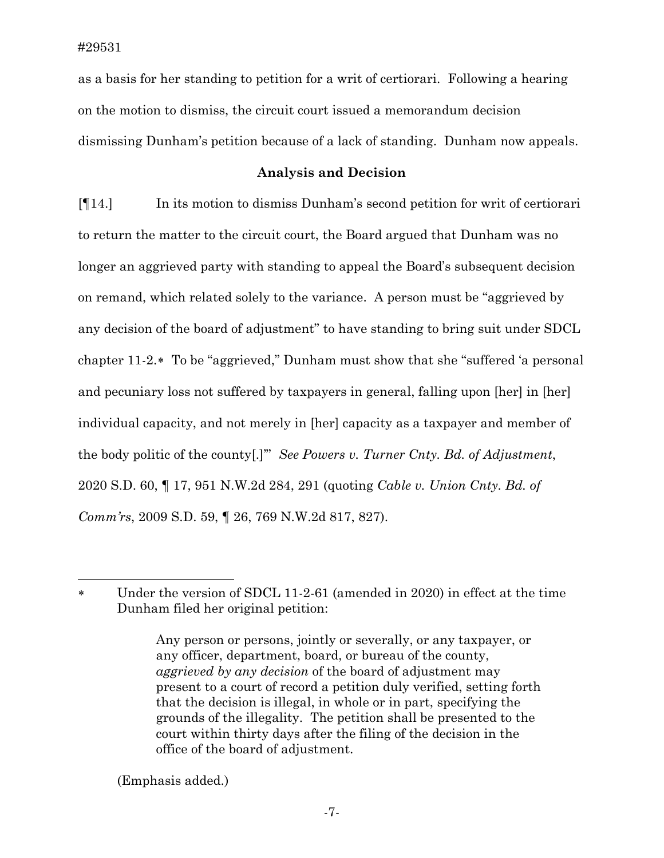as a basis for her standing to petition for a writ of certiorari. Following a hearing on the motion to dismiss, the circuit court issued a memorandum decision dismissing Dunham's petition because of a lack of standing. Dunham now appeals.

## **Analysis and Decision**

[¶14.] In its motion to dismiss Dunham's second petition for writ of certiorari to return the matter to the circuit court, the Board argued that Dunham was no longer an aggrieved party with standing to appeal the Board's subsequent decision on remand, which related solely to the variance. A person must be "aggrieved by any decision of the board of adjustment" to have standing to bring suit under SDCL chapter 11-2.[∗](#page-7-0) To be "aggrieved," Dunham must show that she "suffered 'a personal and pecuniary loss not suffered by taxpayers in general, falling upon [her] in [her] individual capacity, and not merely in [her] capacity as a taxpayer and member of the body politic of the county[.]'" *See Powers v. Turner Cnty. Bd. of Adjustment*, 2020 S.D. 60, ¶ 17, 951 N.W.2d 284, 291 (quoting *Cable v. Union Cnty. Bd. of Comm'rs*, 2009 S.D. 59, ¶ 26, 769 N.W.2d 817, 827).

(Emphasis added.)

<span id="page-7-0"></span><sup>∗</sup> Under the version of SDCL 11-2-61 (amended in 2020) in effect at the time Dunham filed her original petition:

Any person or persons, jointly or severally, or any taxpayer, or any officer, department, board, or bureau of the county, *aggrieved by any decision* of the board of adjustment may present to a court of record a petition duly verified, setting forth that the decision is illegal, in whole or in part, specifying the grounds of the illegality. The petition shall be presented to the court within thirty days after the filing of the decision in the office of the board of adjustment.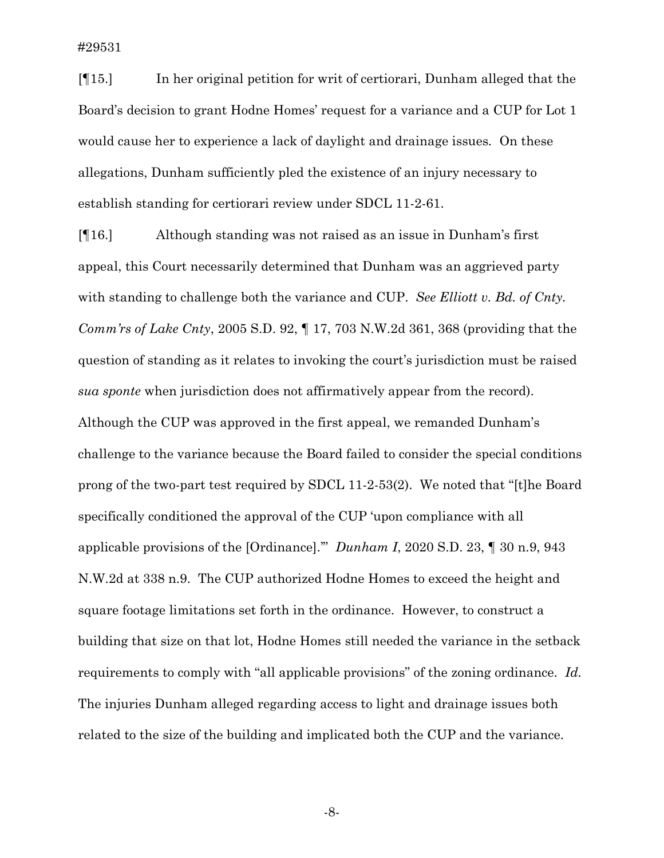[¶15.] In her original petition for writ of certiorari, Dunham alleged that the Board's decision to grant Hodne Homes' request for a variance and a CUP for Lot 1 would cause her to experience a lack of daylight and drainage issues*.* On these allegations, Dunham sufficiently pled the existence of an injury necessary to establish standing for certiorari review under SDCL 11-2-61.

[¶16.] Although standing was not raised as an issue in Dunham's first appeal, this Court necessarily determined that Dunham was an aggrieved party with standing to challenge both the variance and CUP. *See Elliott v. Bd. of Cnty. Comm'rs of Lake Cnty*, 2005 S.D. 92, ¶ 17, 703 N.W.2d 361, 368 (providing that the question of standing as it relates to invoking the court's jurisdiction must be raised *sua sponte* when jurisdiction does not affirmatively appear from the record). Although the CUP was approved in the first appeal, we remanded Dunham's challenge to the variance because the Board failed to consider the special conditions prong of the two-part test required by SDCL 11-2-53(2). We noted that "[t]he Board specifically conditioned the approval of the CUP 'upon compliance with all applicable provisions of the [Ordinance].'" *Dunham I*, 2020 S.D. 23, ¶ 30 n.9, 943 N.W.2d at 338 n.9. The CUP authorized Hodne Homes to exceed the height and square footage limitations set forth in the ordinance. However, to construct a building that size on that lot, Hodne Homes still needed the variance in the setback requirements to comply with "all applicable provisions" of the zoning ordinance. *Id.* The injuries Dunham alleged regarding access to light and drainage issues both related to the size of the building and implicated both the CUP and the variance.

-8-